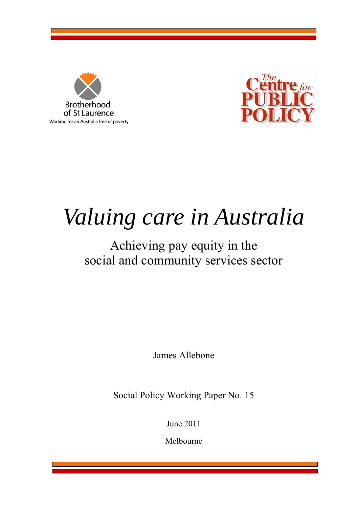



# *Valuing care in Australia*

## Achieving pay equity in the social and community services sector

James Allebone

Social Policy Working Paper No. 15

June 2011

Melbourne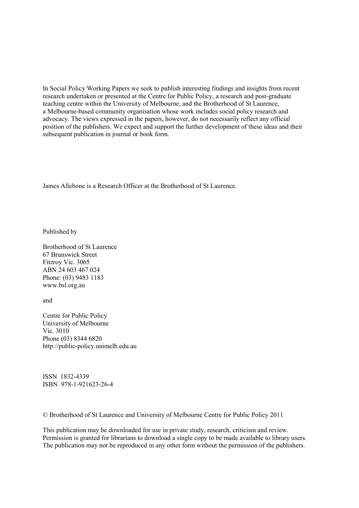In Social Policy Working Papers we seek to publish interesting findings and insights from recent research undertaken or presented at the Centre for Public Policy, a research and post-graduate teaching centre within the University of Melbourne, and the Brotherhood of St Laurence, a Melbourne-based community organisation whose work includes social policy research and advocacy. The views expressed in the papers, however, do not necessarily reflect any official position of the publishers. We expect and support the further development of these ideas and their subsequent publication in journal or book form.

James Allebone is a Research Officer at the Brotherhood of St Laurence.

Published by

Brotherhood of St Laurence 67 Brunswick Street Fitzroy Vic. 3065 ABN 24 603 467 024 Phone: (03) 9483 1183 [www.bsl.org.au](http://www.bsl.org.au/) 

and

Centre for Public Policy University of Melbourne Vic. 3010 Phone (03) 8344 6820 [http://public-policy.unimelb.edu.au](http://public-policy.unimelb.edu.au/) 

ISSN 1832-4339 ISBN 978-1-921623-26-4

© Brotherhood of St Laurence and University of Melbourne Centre for Public Policy 2011

This publication may be downloaded for use in private study, research, criticism and review. Permission is granted for librarians to download a single copy to be made available to library users. The publication may not be reproduced in any other form without the permission of the publishers.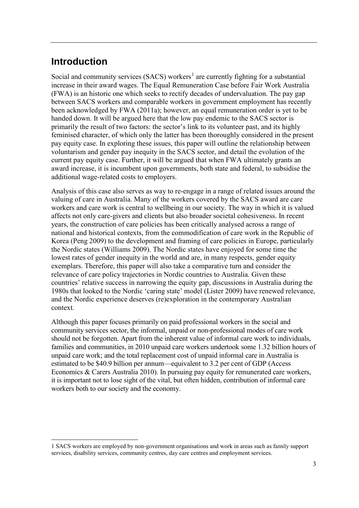#### **Introduction**

<u>.</u>

Social and community services (SACS) workers<sup>[1](#page-2-0)</sup> are currently fighting for a substantial increase in their award wages. The Equal Remuneration Case before Fair Work Australia (FWA) is an historic one which seeks to rectify decades of undervaluation. The pay gap between SACS workers and comparable workers in government employment has recently been acknowledged by FWA (2011a); however, an equal remuneration order is yet to be handed down. It will be argued here that the low pay endemic to the SACS sector is primarily the result of two factors: the sector's link to its volunteer past, and its highly feminised character, of which only the latter has been thoroughly considered in the present pay equity case. In exploring these issues, this paper will outline the relationship between voluntarism and gender pay inequity in the SACS sector, and detail the evolution of the current pay equity case. Further, it will be argued that when FWA ultimately grants an award increase, it is incumbent upon governments, both state and federal, to subsidise the additional wage-related costs to employers.

Analysis of this case also serves as way to re-engage in a range of related issues around the valuing of care in Australia. Many of the workers covered by the SACS award are care workers and care work is central to wellbeing in our society. The way in which it is valued affects not only care-givers and clients but also broader societal cohesiveness. In recent years, the construction of care policies has been critically analysed across a range of national and historical contexts, from the commodification of care work in the Republic of Korea (Peng 2009) to the development and framing of care policies in Europe, particularly the Nordic states (Williams 2009). The Nordic states have enjoyed for some time the lowest rates of gender inequity in the world and are, in many respects, gender equity exemplars. Therefore, this paper will also take a comparative turn and consider the relevance of care policy trajectories in Nordic countries to Australia. Given these countries' relative success in narrowing the equity gap, discussions in Australia during the 1980s that looked to the Nordic 'caring state' model (Lister 2009) have renewed relevance, and the Nordic experience deserves (re)exploration in the contemporary Australian context.

Although this paper focuses primarily on paid professional workers in the social and community services sector, the informal, unpaid or non-professional modes of care work should not be forgotten. Apart from the inherent value of informal care work to individuals, families and communities, in 2010 unpaid care workers undertook some 1.32 billion hours of unpaid care work; and the total replacement cost of unpaid informal care in Australia is estimated to be \$40.9 billion per annum—equivalent to 3.2 per cent of GDP (Access Economics & Carers Australia 2010). In pursuing pay equity for remunerated care workers, it is important not to lose sight of the vital, but often hidden, contribution of informal care workers both to our society and the economy.

<span id="page-2-0"></span><sup>1</sup> SACS workers are employed by non-government organisations and work in areas such as family support services, disability services, community centres, day care centres and employment services.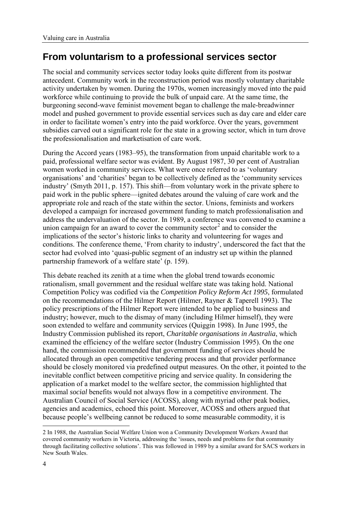#### **From voluntarism to a professional services sector**

The social and community services sector today looks quite different from its postwar antecedent. Community work in the reconstruction period was mostly voluntary charitable activity undertaken by women. During the 1970s, women increasingly moved into the paid workforce while continuing to provide the bulk of unpaid care. At the same time, the burgeoning second-wave feminist movement began to challenge the male-breadwinner model and pushed government to provide essential services such as day care and elder care in order to facilitate women's entry into the paid workforce. Over the years, government subsidies carved out a significant role for the state in a growing sector, which in turn drove the professionalisation and marketisation of care work.

During the Accord years (1983–95), the transformation from unpaid charitable work to a paid, professional welfare sector was evident. By August 1987, 30 per cent of Australian women worked in community services. What were once referred to as 'voluntary organisations' and 'charities' began to be collectively defined as the 'community services industry' (Smyth 2011, p. 157). This shift—from voluntary work in the private sphere to paid work in the public sphere—ignited debates around the valuing of care work and the appropriate role and reach of the state within the sector. Unions, feminists and workers developed a campaign for increased government funding to match professionalisation and address the undervaluation of the sector. In 1989, a conference was convened to examine a union campaign for an award to cover the community sector<sup>[2](#page-3-0)</sup> and to consider the implications of the sector's historic links to charity and volunteering for wages and conditions. The conference theme, 'From charity to industry', underscored the fact that the sector had evolved into 'quasi-public segment of an industry set up within the planned partnership framework of a welfare state' (p. 159).

This debate reached its zenith at a time when the global trend towards economic rationalism, small government and the residual welfare state was taking hold. National Competition Policy was codified via the *Competition Policy Reform Act 1995*, formulated on the recommendations of the Hilmer Report (Hilmer, Rayner & Taperell 1993). The policy prescriptions of the Hilmer Report were intended to be applied to business and industry; however, much to the dismay of many (including Hilmer himself), they were soon extended to welfare and community services (Quiggin 1998). In June 1995, the Industry Commission published its report, *Charitable organisations in Australia*, which examined the efficiency of the welfare sector (Industry Commission 1995). On the one hand, the commission recommended that government funding of services should be allocated through an open competitive tendering process and that provider performance should be closely monitored via predefined output measures. On the other, it pointed to the inevitable conflict between competitive pricing and service quality. In considering the application of a market model to the welfare sector, the commission highlighted that maximal *social* benefits would not always flow in a competitive environment. The Australian Council of Social Service (ACOSS), along with myriad other peak bodies, agencies and academics, echoed this point. Moreover, ACOSS and others argued that because people's wellbeing cannot be reduced to some measurable commodity, it is

-

<span id="page-3-0"></span><sup>2</sup> In 1988, the Australian Social Welfare Union won a Community Development Workers Award that covered community workers in Victoria, addressing the 'issues, needs and problems for that community through facilitating collective solutions'. This was followed in 1989 by a similar award for SACS workers in New South Wales.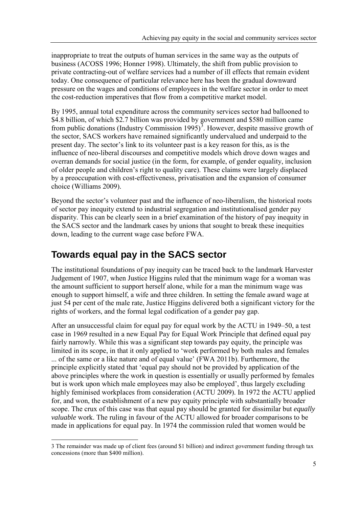inappropriate to treat the outputs of human services in the same way as the outputs of business (ACOSS 1996; Honner 1998). Ultimately, the shift from public provision to private contracting-out of welfare services had a number of ill effects that remain evident today. One consequence of particular relevance here has been the gradual downward pressure on the wages and conditions of employees in the welfare sector in order to meet the cost-reduction imperatives that flow from a competitive market model.

By 1995, annual total expenditure across the community services sector had ballooned to \$4.8 billion, of which \$2.7 billion was provided by government and \$580 million came from public donations (Industry Commission  $1995$ )<sup>[3](#page-4-0)</sup>. However, despite massive growth of the sector, SACS workers have remained significantly undervalued and underpaid to the present day. The sector's link to its volunteer past is a key reason for this, as is the influence of neo-liberal discourses and competitive models which drove down wages and overran demands for social justice (in the form, for example, of gender equality, inclusion of older people and children's right to quality care). These claims were largely displaced by a preoccupation with cost-effectiveness, privatisation and the expansion of consumer choice (Williams 2009).

Beyond the sector's volunteer past and the influence of neo-liberalism, the historical roots of sector pay inequity extend to industrial segregation and institutionalised gender pay disparity. This can be clearly seen in a brief examination of the history of pay inequity in the SACS sector and the landmark cases by unions that sought to break these inequities down, leading to the current wage case before FWA.

#### **Towards equal pay in the SACS sector**

<u>.</u>

The institutional foundations of pay inequity can be traced back to the landmark Harvester Judgement of 1907, when Justice Higgins ruled that the minimum wage for a woman was the amount sufficient to support herself alone, while for a man the minimum wage was enough to support himself, a wife and three children. In setting the female award wage at just 54 per cent of the male rate, Justice Higgins delivered both a significant victory for the rights of workers, and the formal legal codification of a gender pay gap.

After an unsuccessful claim for equal pay for equal work by the ACTU in 1949–50, a test case in 1969 resulted in a new Equal Pay for Equal Work Principle that defined equal pay fairly narrowly. While this was a significant step towards pay equity, the principle was limited in its scope, in that it only applied to 'work performed by both males and females ... of the same or a like nature and of equal value' (FWA 2011b). Furthermore, the principle explicitly stated that 'equal pay should not be provided by application of the above principles where the work in question is essentially or usually performed by females but is work upon which male employees may also be employed', thus largely excluding highly feminised workplaces from consideration (ACTU 2009). In 1972 the ACTU applied for, and won, the establishment of a new pay equity principle with substantially broader scope. The crux of this case was that equal pay should be granted for dissimilar but *equally valuable* work. The ruling in favour of the ACTU allowed for broader comparisons to be made in applications for equal pay. In 1974 the commission ruled that women would be

<span id="page-4-0"></span><sup>3</sup> The remainder was made up of client fees (around \$1 billion) and indirect government funding through tax concessions (more than \$400 million).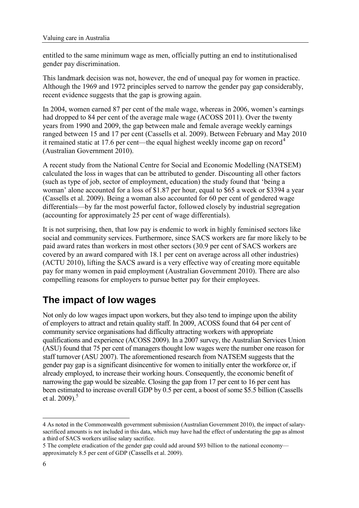entitled to the same minimum wage as men, officially putting an end to institutionalised gender pay discrimination.

This landmark decision was not, however, the end of unequal pay for women in practice. Although the 1969 and 1972 principles served to narrow the gender pay gap considerably, recent evidence suggests that the gap is growing again.

In 2004, women earned 87 per cent of the male wage, whereas in 2006, women's earnings had dropped to 84 per cent of the average male wage (ACOSS 2011). Over the twenty years from 1990 and 2009, the gap between male and female average weekly earnings ranged between 15 and 17 per cent (Cassells et al. 2009). Between February and May 2010 it remained static at 17.6 per cent—the equal highest weekly income gap on record<sup>[4](#page-5-0)</sup> (Australian Government 2010).

A recent study from the National Centre for Social and Economic Modelling (NATSEM) calculated the loss in wages that can be attributed to gender. Discounting all other factors (such as type of job, sector of employment, education) the study found that 'being a woman' alone accounted for a loss of \$1.87 per hour, equal to \$65 a week or \$3394 a year (Cassells et al. 2009). Being a woman also accounted for 60 per cent of gendered wage differentials—by far the most powerful factor, followed closely by industrial segregation (accounting for approximately 25 per cent of wage differentials).

It is not surprising, then, that low pay is endemic to work in highly feminised sectors like social and community services. Furthermore, since SACS workers are far more likely to be paid award rates than workers in most other sectors (30.9 per cent of SACS workers are covered by an award compared with 18.1 per cent on average across all other industries) (ACTU 2010), lifting the SACS award is a very effective way of creating more equitable pay for many women in paid employment (Australian Government 2010). There are also compelling reasons for employers to pursue better pay for their employees.

#### **The impact of low wages**

Not only do low wages impact upon workers, but they also tend to impinge upon the ability of employers to attract and retain quality staff. In 2009, ACOSS found that 64 per cent of community service organisations had difficulty attracting workers with appropriate qualifications and experience (ACOSS 2009). In a 2007 survey, the Australian Services Union (ASU) found that 75 per cent of managers thought low wages were the number one reason for staff turnover (ASU 2007). The aforementioned research from NATSEM suggests that the gender pay gap is a significant disincentive for women to initially enter the workforce or, if already employed, to increase their working hours. Consequently, the economic benefit of narrowing the gap would be sizeable. Closing the gap from 17 per cent to 16 per cent has been estimated to increase overall GDP by 0.5 per cent, a boost of some \$5.5 billion (Cassells et al. 2009). [5](#page-5-1)

<span id="page-5-0"></span><sup>&</sup>lt;u>.</u> 4 As noted in the Commonwealth government submission (Australian Government 2010), the impact of salarysacrificed amounts is not included in this data, which may have had the effect of understating the gap as almost a third of SACS workers utilise salary sacrifice.

<span id="page-5-1"></span><sup>5</sup> The complete eradication of the gender gap could add around \$93 billion to the national economy approximately 8.5 per cent of GDP (Cassells et al. 2009).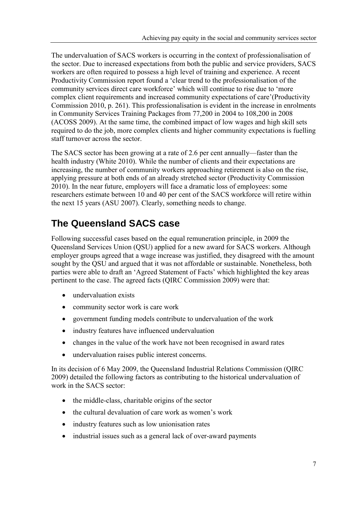The undervaluation of SACS workers is occurring in the context of professionalisation of the sector. Due to increased expectations from both the public and service providers, SACS workers are often required to possess a high level of training and experience. A recent Productivity Commission report found a 'clear trend to the professionalisation of the community services direct care workforce' which will continue to rise due to 'more complex client requirements and increased community expectations of care'(Productivity Commission 2010, p. 261). This professionalisation is evident in the increase in enrolments in Community Services Training Packages from 77,200 in 2004 to 108,200 in 2008 (ACOSS 2009). At the same time, the combined impact of low wages and high skill sets required to do the job, more complex clients and higher community expectations is fuelling staff turnover across the sector.

The SACS sector has been growing at a rate of 2.6 per cent annually—faster than the health industry (White 2010). While the number of clients and their expectations are increasing, the number of community workers approaching retirement is also on the rise, applying pressure at both ends of an already stretched sector (Productivity Commission 2010). In the near future, employers will face a dramatic loss of employees: some researchers estimate between 10 and 40 per cent of the SACS workforce will retire within the next 15 years (ASU 2007). Clearly, something needs to change.

#### **The Queensland SACS case**

Following successful cases based on the equal remuneration principle, in 2009 the Queensland Services Union (QSU) applied for a new award for SACS workers. Although employer groups agreed that a wage increase was justified, they disagreed with the amount sought by the QSU and argued that it was not affordable or sustainable. Nonetheless, both parties were able to draft an 'Agreed Statement of Facts' which highlighted the key areas pertinent to the case. The agreed facts (QIRC Commission 2009) were that:

- undervaluation exists
- community sector work is care work
- government funding models contribute to undervaluation of the work
- industry features have influenced undervaluation
- changes in the value of the work have not been recognised in award rates
- undervaluation raises public interest concerns.

In its decision of 6 May 2009, the Queensland Industrial Relations Commission (QIRC 2009) detailed the following factors as contributing to the historical undervaluation of work in the SACS sector:

- the middle-class, charitable origins of the sector
- the cultural devaluation of care work as women's work
- industry features such as low unionisation rates
- industrial issues such as a general lack of over-award payments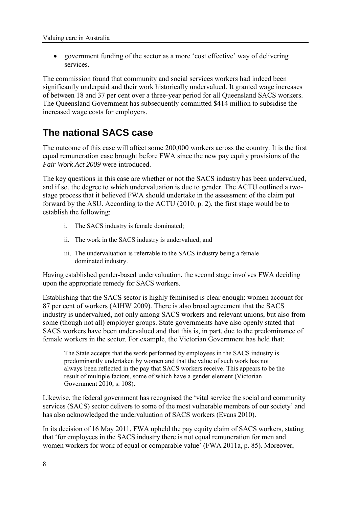• government funding of the sector as a more 'cost effective' way of delivering services.

The commission found that community and social services workers had indeed been significantly underpaid and their work historically undervalued. It granted wage increases of between 18 and 37 per cent over a three-year period for all Queensland SACS workers. The Queensland Government has subsequently committed \$414 million to subsidise the increased wage costs for employers.

#### **The national SACS case**

The outcome of this case will affect some 200,000 workers across the country. It is the first equal remuneration case brought before FWA since the new pay equity provisions of the *Fair Work Act 2009* were introduced.

The key questions in this case are whether or not the SACS industry has been undervalued, and if so, the degree to which undervaluation is due to gender. The ACTU outlined a twostage process that it believed FWA should undertake in the assessment of the claim put forward by the ASU. According to the ACTU (2010, p. 2), the first stage would be to establish the following:

- i. The SACS industry is female dominated;
- ii. The work in the SACS industry is undervalued; and
- iii. The undervaluation is referrable to the SACS industry being a female dominated industry.

Having established gender-based undervaluation, the second stage involves FWA deciding upon the appropriate remedy for SACS workers.

Establishing that the SACS sector is highly feminised is clear enough: women account for 87 per cent of workers (AIHW 2009). There is also broad agreement that the SACS industry is undervalued, not only among SACS workers and relevant unions, but also from some (though not all) employer groups. State governments have also openly stated that SACS workers have been undervalued and that this is, in part, due to the predominance of female workers in the sector. For example, the Victorian Government has held that:

The State accepts that the work performed by employees in the SACS industry is predominantly undertaken by women and that the value of such work has not always been reflected in the pay that SACS workers receive. This appears to be the result of multiple factors, some of which have a gender element (Victorian Government 2010, s. 108).

Likewise, the federal government has recognised the 'vital service the social and community services (SACS) sector delivers to some of the most vulnerable members of our society' and has also acknowledged the undervaluation of SACS workers (Evans 2010).

In its decision of 16 May 2011, FWA upheld the pay equity claim of SACS workers, stating that 'for employees in the SACS industry there is not equal remuneration for men and women workers for work of equal or comparable value' (FWA 2011a, p. 85). Moreover,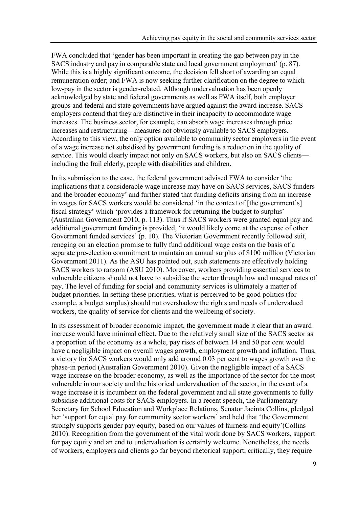FWA concluded that 'gender has been important in creating the gap between pay in the SACS industry and pay in comparable state and local government employment' (p. 87). While this is a highly significant outcome, the decision fell short of awarding an equal remuneration order; and FWA is now seeking further clarification on the degree to which low-pay in the sector is gender-related. Although undervaluation has been openly acknowledged by state and federal governments as well as FWA itself, both employer groups and federal and state governments have argued against the award increase. SACS employers contend that they are distinctive in their incapacity to accommodate wage increases. The business sector, for example, can absorb wage increases through price increases and restructuring—measures not obviously available to SACS employers. According to this view, the only option available to community sector employers in the event of a wage increase not subsidised by government funding is a reduction in the quality of service. This would clearly impact not only on SACS workers, but also on SACS clients including the frail elderly, people with disabilities and children.

In its submission to the case, the federal government advised FWA to consider 'the implications that a considerable wage increase may have on SACS services, SACS funders and the broader economy' and further stated that funding deficits arising from an increase in wages for SACS workers would be considered 'in the context of [the government's] fiscal strategy' which 'provides a framework for returning the budget to surplus' (Australian Government 2010, p. 113). Thus if SACS workers were granted equal pay and additional government funding is provided, 'it would likely come at the expense of other Government funded services' (p. 10). The Victorian Government recently followed suit, reneging on an election promise to fully fund additional wage costs on the basis of a separate pre-election commitment to maintain an annual surplus of \$100 million (Victorian Government 2011). As the ASU has pointed out, such statements are effectively holding SACS workers to ransom (ASU 2010). Moreover, workers providing essential services to vulnerable citizens should not have to subsidise the sector through low and unequal rates of pay. The level of funding for social and community services is ultimately a matter of budget priorities. In setting these priorities, what is perceived to be good politics (for example, a budget surplus) should not overshadow the rights and needs of undervalued workers, the quality of service for clients and the wellbeing of society.

In its assessment of broader economic impact, the government made it clear that an award increase would have minimal effect. Due to the relatively small size of the SACS sector as a proportion of the economy as a whole, pay rises of between 14 and 50 per cent would have a negligible impact on overall wages growth, employment growth and inflation. Thus, a victory for SACS workers would only add around 0.03 per cent to wages growth over the phase-in period (Australian Government 2010). Given the negligible impact of a SACS wage increase on the broader economy, as well as the importance of the sector for the most vulnerable in our society and the historical undervaluation of the sector, in the event of a wage increase it is incumbent on the federal government and all state governments to fully subsidise additional costs for SACS employers. In a recent speech, the Parliamentary Secretary for School Education and Workplace Relations, Senator Jacinta Collins, pledged her 'support for equal pay for community sector workers' and held that 'the Government strongly supports gender pay equity, based on our values of fairness and equity'(Collins 2010). Recognition from the government of the vital work done by SACS workers, support for pay equity and an end to undervaluation is certainly welcome. Nonetheless, the needs of workers, employers and clients go far beyond rhetorical support; critically, they require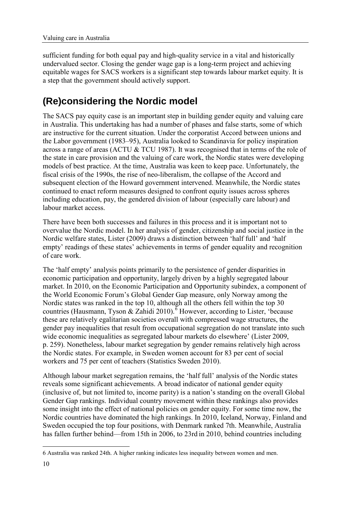sufficient funding for both equal pay and high-quality service in a vital and historically undervalued sector. Closing the gender wage gap is a long-term project and achieving equitable wages for SACS workers is a significant step towards labour market equity. It is a step that the government should actively support.

### **(Re)considering the Nordic model**

The SACS pay equity case is an important step in building gender equity and valuing care in Australia. This undertaking has had a number of phases and false starts, some of which are instructive for the current situation. Under the corporatist Accord between unions and the Labor government (1983–95), Australia looked to Scandinavia for policy inspiration across a range of areas (ACTU & TCU 1987). It was recognised that in terms of the role of the state in care provision and the valuing of care work, the Nordic states were developing models of best practice. At the time, Australia was keen to keep pace. Unfortunately, the fiscal crisis of the 1990s, the rise of neo-liberalism, the collapse of the Accord and subsequent election of the Howard government intervened. Meanwhile, the Nordic states continued to enact reform measures designed to confront equity issues across spheres including education, pay, the gendered division of labour (especially care labour) and labour market access.

There have been both successes and failures in this process and it is important not to overvalue the Nordic model. In her analysis of gender, citizenship and social justice in the Nordic welfare states, Lister (2009) draws a distinction between 'half full' and 'half empty' readings of these states' achievements in terms of gender equality and recognition of care work.

The 'half empty' analysis points primarily to the persistence of gender disparities in economic participation and opportunity, largely driven by a highly segregated labour market. In 2010, on the Economic Participation and Opportunity subindex, a component of the World Economic Forum's Global Gender Gap measure, only Norway among the Nordic states was ranked in the top 10, although all the others fell within the top 30 countries (Hausmann, Tyson & Zahidi 2010).<sup>[6](#page-9-0)</sup> However, according to Lister, 'because these are relatively egalitarian societies overall with compressed wage structures, the gender pay inequalities that result from occupational segregation do not translate into such wide economic inequalities as segregated labour markets do elsewhere' (Lister 2009, p. 259). Nonetheless, labour market segregation by gender remains relatively high across the Nordic states. For example, in Sweden women account for 83 per cent of social workers and 75 per cent of teachers (Statistics Sweden 2010).

Although labour market segregation remains, the 'half full' analysis of the Nordic states reveals some significant achievements. A broad indicator of national gender equity (inclusive of, but not limited to, income parity) is a nation's standing on the overall Global Gender Gap rankings. Individual country movement within these rankings also provides some insight into the effect of national policies on gender equity. For some time now, the Nordic countries have dominated the high rankings. In 2010, Iceland, Norway, Finland and Sweden occupied the top four positions, with Denmark ranked 7th. Meanwhile, Australia has fallen further behind—from 15th in 2006, to 23rd in 2010, behind countries including

<span id="page-9-0"></span><sup>-</sup>6 Australia was ranked 24th. A higher ranking indicates less inequality between women and men.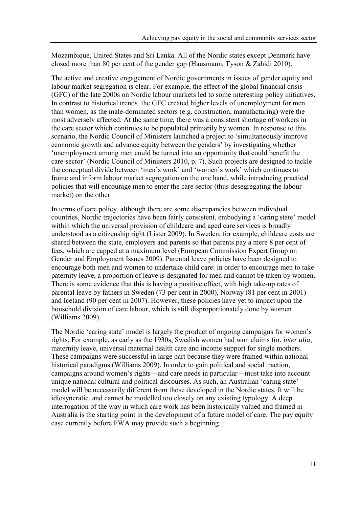Mozambique, United States and Sri Lanka. All of the Nordic states except Denmark have closed more than 80 per cent of the gender gap (Hausmann, Tyson & Zahidi 2010).

The active and creative engagement of Nordic governments in issues of gender equity and labour market segregation is clear. For example, the effect of the global financial crisis (GFC) of the late 2000s on Nordic labour markets led to some interesting policy initiatives. In contrast to historical trends, the GFC created higher levels of unemployment for men than women, as the male-dominated sectors (e.g. construction, manufacturing) were the most adversely affected. At the same time, there was a consistent shortage of workers in the care sector which continues to be populated primarily by women. In response to this scenario, the Nordic Council of Ministers launched a project to 'simultaneously improve economic growth and advance equity between the genders' by investigating whether 'unemployment among men could be turned into an opportunity that could benefit the care-sector' (Nordic Council of Ministers 2010, p. 7). Such projects are designed to tackle the conceptual divide between 'men's work' and 'women's work' which continues to frame and inform labour market segregation on the one hand, while introducing practical policies that will encourage men to enter the care sector (thus desegregating the labour market) on the other.

In terms of care policy, although there are some discrepancies between individual countries, Nordic trajectories have been fairly consistent, embodying a 'caring state' model within which the universal provision of childcare and aged care services is broadly understood as a citizenship right (Lister 2009). In Sweden, for example, childcare costs are shared between the state, employers and parents so that parents pay a mere 8 per cent of fees, which are capped at a maximum level (European Commission Expert Group on Gender and Employment Issues 2009). Parental leave policies have been designed to encourage both men and women to undertake child care: in order to encourage men to take paternity leave, a proportion of leave is designated for men and cannot be taken by women. There is some evidence that this is having a positive effect, with high take-up rates of parental leave by fathers in Sweden (73 per cent in 2000), Norway (81 per cent in 2001) and Iceland (90 per cent in 2007). However, these policies have yet to impact upon the household division of care labour, which is still disproportionately done by women (Williams 2009).

The Nordic 'caring state' model is largely the product of ongoing campaigns for women's rights. For example, as early as the 1930s, Swedish women had won claims for, *inter alia*, maternity leave, universal maternal health care and income support for single mothers. These campaigns were successful in large part because they were framed within national historical paradigms (Williams 2009). In order to gain political and social traction, campaigns around women's rights—and care needs in particular—must take into account unique national cultural and political discourses. As such, an Australian 'caring state' model will be necessarily different from those developed in the Nordic states. It will be idiosyncratic, and cannot be modelled too closely on any existing typology. A deep interrogation of the way in which care work has been historically valued and framed in Australia is the starting point in the development of a future model of care. The pay equity case currently before FWA may provide such a beginning.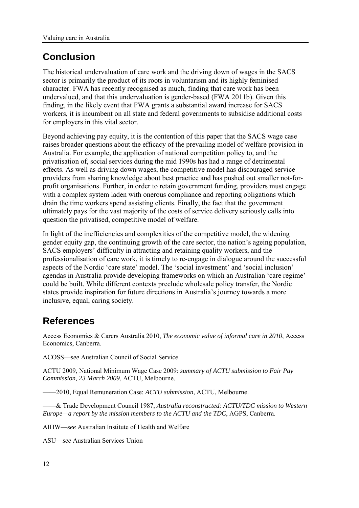#### **Conclusion**

The historical undervaluation of care work and the driving down of wages in the SACS sector is primarily the product of its roots in voluntarism and its highly feminised character. FWA has recently recognised as much, finding that care work has been undervalued, and that this undervaluation is gender-based (FWA 2011b). Given this finding, in the likely event that FWA grants a substantial award increase for SACS workers, it is incumbent on all state and federal governments to subsidise additional costs for employers in this vital sector.

Beyond achieving pay equity, it is the contention of this paper that the SACS wage case raises broader questions about the efficacy of the prevailing model of welfare provision in Australia. For example, the application of national competition policy to, and the privatisation of, social services during the mid 1990s has had a range of detrimental effects. As well as driving down wages, the competitive model has discouraged service providers from sharing knowledge about best practice and has pushed out smaller not-forprofit organisations. Further, in order to retain government funding, providers must engage with a complex system laden with onerous compliance and reporting obligations which drain the time workers spend assisting clients. Finally, the fact that the government ultimately pays for the vast majority of the costs of service delivery seriously calls into question the privatised, competitive model of welfare.

In light of the inefficiencies and complexities of the competitive model, the widening gender equity gap, the continuing growth of the care sector, the nation's ageing population, SACS employers' difficulty in attracting and retaining quality workers, and the professionalisation of care work, it is timely to re-engage in dialogue around the successful aspects of the Nordic 'care state' model. The 'social investment' and 'social inclusion' agendas in Australia provide developing frameworks on which an Australian 'care regime' could be built. While different contexts preclude wholesale policy transfer, the Nordic states provide inspiration for future directions in Australia's journey towards a more inclusive, equal, caring society.

#### **References**

Access Economics & Carers Australia 2010, *The economic value of informal care in 2010*, Access Economics, Canberra.

ACOSS—*see* Australian Council of Social Service

ACTU 2009, National Minimum Wage Case 2009: *summary of ACTU submission to Fair Pay Commission, 23 March 2009*, ACTU, Melbourne.

——2010, Equal Remuneration Case: *ACTU submission*, ACTU, Melbourne.

——& Trade Development Council 1987, *Australia reconstructed: ACTU/TDC mission to Western Europe—a report by the mission members to the ACTU and the TDC*, AGPS, Canberra.

AIHW—*see* Australian Institute of Health and Welfare

ASU—*see* Australian Services Union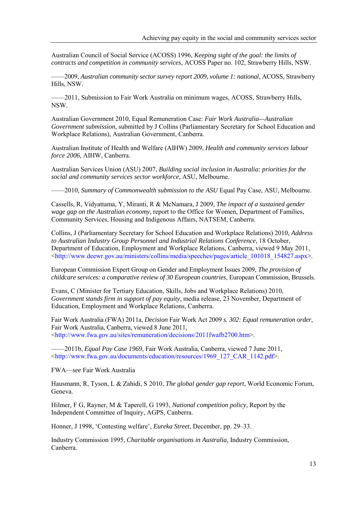Australian Council of Social Service (ACOSS) 1996, *Keeping sight of the goal: the limits of contracts and competition in community services*, ACOSS Paper no. 102, Strawberry Hills, NSW.

——2009, *Australian community sector survey report 2009, volume 1: national*, ACOSS, Strawberry Hills, NSW.

——2011, Submission to Fair Work Australia on minimum wages, ACOSS, Strawberry Hills, NSW.

Australian Government 2010, Equal Remuneration Case: *Fair Work Australia—Australian Government submission*, submitted by J Collins (Parliamentary Secretary for School Education and Workplace Relations), Australian Government, Canberra.

Australian Institute of Health and Welfare (AIHW) 2009, *Health and community services labour force 2006*, AIHW, Canberra.

Australian Services Union (ASU) 2007, *Building social inclusion in Australia: priorities for the social and community services sector workforce*, ASU, Melbourne.

——2010, *Summary of Commonwealth submission to the ASU* Equal Pay Case, ASU, Melbourne.

Cassells, R, Vidyattama, Y, Miranti, R & McNamara, J 2009, *The impact of a sustained gender wage gap on the Australian economy*, report to the Office for Women, Department of Families, Community Services, Housing and Indigenous Affairs, NATSEM, Canberra.

Collins, J (Parliamentary Secretary for School Education and Workplace Relations) 2010, *Address to Australian Industry Group Personnel and Industrial Relations Conference*, 18 October, Department of Education, Employment and Workplace Relations, Canberra, viewed 9 May 2011, [<http://www.deewr.gov.au/ministers/collins/media/speeches/pages/article\\_101018\\_154827.aspx>](http://www.deewr.gov.au/ministers/collins/media/speeches/pages/article_101018_154827.aspx).

European Commission Expert Group on Gender and Employment Issues 2009, *The provision of childcare services: a comparative review of 30 European countries*, European Commission, Brussels.

Evans, C (Minister for Tertiary Education, Skills, Jobs and Workplace Relations) 2010, *Government stands firm in support of pay equity*, media release, 23 November, Department of Education, Employment and Workplace Relations, Canberra.

Fair Work Australia (FWA) 2011a, *Decision* Fair Work Act 2009 *s. 302: Equal remuneration order*, Fair Work Australia, Canberra, viewed 8 June 2011, [<http://www.fwa.gov.au/sites/remuneration/decisions/2011fwafb2700.htm>](http://www.fwa.gov.au/sites/remuneration/decisions/2011fwafb2700.htm).

——2011b, *Equal Pay Case 1969*, Fair Work Australia, Canberra, viewed 7 June 2011, [<http://www.fwa.gov.au/documents/education/resources/1969\\_127\\_CAR\\_1142.pdf>](http://www.fwa.gov.au/documents/education/resources/1969_127_CAR_1142.pdf).

FWA—*see* Fair Work Australia

Hausmann, R, Tyson, L & Zahidi, S 2010, *The global gender gap report*, World Economic Forum, Geneva.

Hilmer, F G, Rayner, M & Taperell, G 1993, *National competition policy*, Report by the Independent Committee of Inquiry, AGPS, Canberra.

Honner, J 1998, 'Contesting welfare', *Eureka Street*, December, pp. 29–33.

Industry Commission 1995, *Charitable organisations in Australia*, Industry Commission, Canberra.